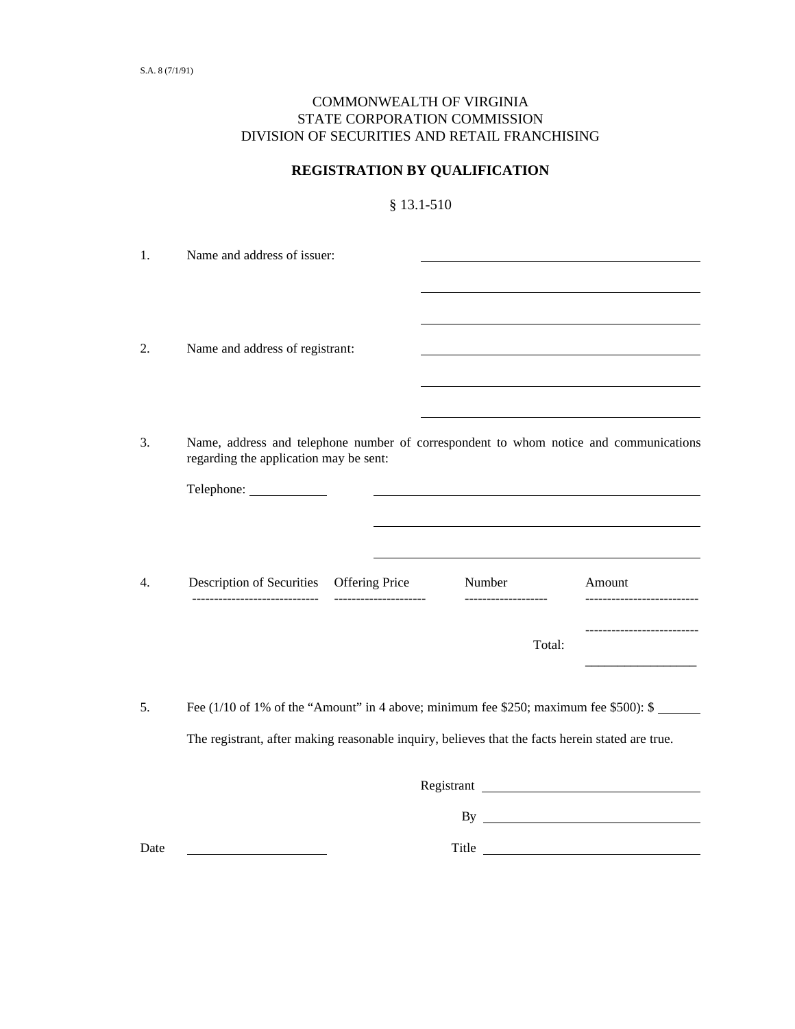## COMMONWEALTH OF VIRGINIA STATE CORPORATION COMMISSION DIVISION OF SECURITIES AND RETAIL FRANCHISING

## **REGISTRATION BY QUALIFICATION**

§ 13.1-510

1. Name and address of issuer: l l 2. Name and address of registrant: l l 3. Name, address and telephone number of correspondent to whom notice and communications regarding the application may be sent: Telephone: l l 4. Description of Securities Offering Price Number Amount ----------------------------- --------------------- ------------------- -------------------------- -------------------------- Total: \_\_\_\_\_\_\_\_\_\_\_\_\_\_\_\_\_

5. Fee (1/10 of 1% of the "Amount" in 4 above; minimum fee \$250; maximum fee \$500): \$ The registrant, after making reasonable inquiry, believes that the facts herein stated are true.

|      | Registrant |  |
|------|------------|--|
|      | B۱         |  |
| Date | Title      |  |